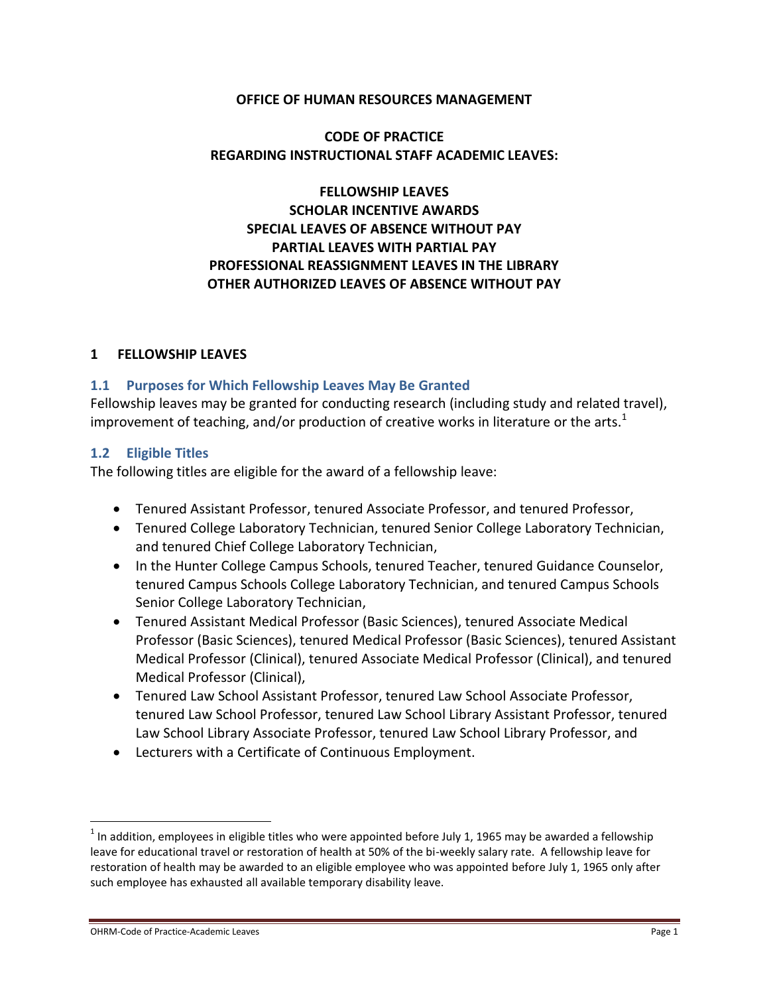### **OFFICE OF HUMAN RESOURCES MANAGEMENT**

# **CODE OF PRACTICE REGARDING INSTRUCTIONAL STAFF ACADEMIC LEAVES:**

# **FELLOWSHIP LEAVES SCHOLAR INCENTIVE AWARDS SPECIAL LEAVES OF ABSENCE WITHOUT PAY PARTIAL LEAVES WITH PARTIAL PAY PROFESSIONAL REASSIGNMENT LEAVES IN THE LIBRARY OTHER AUTHORIZED LEAVES OF ABSENCE WITHOUT PAY**

### **1 FELLOWSHIP LEAVES**

### **1.1 Purposes for Which Fellowship Leaves May Be Granted**

Fellowship leaves may be granted for conducting research (including study and related travel), improvement of teaching, and/or production of creative works in literature or the arts.<sup>1</sup>

### **1.2 Eligible Titles**

The following titles are eligible for the award of a fellowship leave:

- Tenured Assistant Professor, tenured Associate Professor, and tenured Professor,
- Tenured College Laboratory Technician, tenured Senior College Laboratory Technician, and tenured Chief College Laboratory Technician,
- In the Hunter College Campus Schools, tenured Teacher, tenured Guidance Counselor, tenured Campus Schools College Laboratory Technician, and tenured Campus Schools Senior College Laboratory Technician,
- Tenured Assistant Medical Professor (Basic Sciences), tenured Associate Medical Professor (Basic Sciences), tenured Medical Professor (Basic Sciences), tenured Assistant Medical Professor (Clinical), tenured Associate Medical Professor (Clinical), and tenured Medical Professor (Clinical),
- Tenured Law School Assistant Professor, tenured Law School Associate Professor, tenured Law School Professor, tenured Law School Library Assistant Professor, tenured Law School Library Associate Professor, tenured Law School Library Professor, and
- Lecturers with a Certificate of Continuous Employment.

 $^1$  In addition, employees in eligible titles who were appointed before July 1, 1965 may be awarded a fellowship leave for educational travel or restoration of health at 50% of the bi-weekly salary rate. A fellowship leave for restoration of health may be awarded to an eligible employee who was appointed before July 1, 1965 only after such employee has exhausted all available temporary disability leave.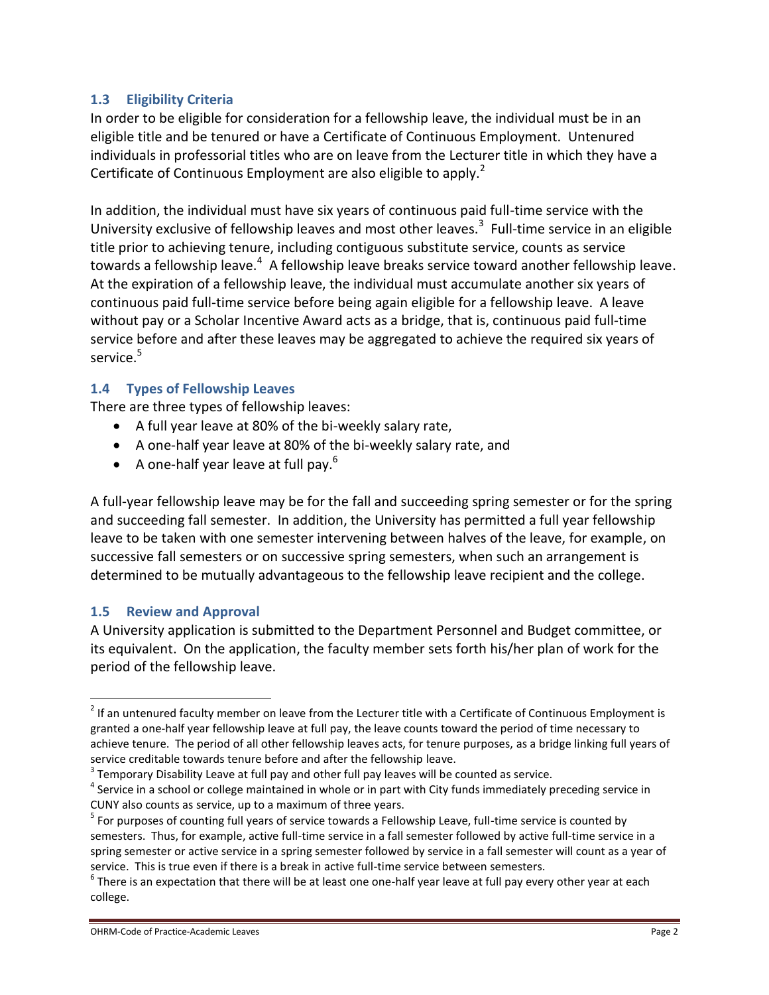## **1.3 Eligibility Criteria**

In order to be eligible for consideration for a fellowship leave, the individual must be in an eligible title and be tenured or have a Certificate of Continuous Employment. Untenured individuals in professorial titles who are on leave from the Lecturer title in which they have a Certificate of Continuous Employment are also eligible to apply.<sup>2</sup>

In addition, the individual must have six years of continuous paid full-time service with the University exclusive of fellowship leaves and most other leaves.<sup>3</sup> Full-time service in an eligible title prior to achieving tenure, including contiguous substitute service, counts as service towards a fellowship leave.<sup>4</sup> A fellowship leave breaks service toward another fellowship leave. At the expiration of a fellowship leave, the individual must accumulate another six years of continuous paid full-time service before being again eligible for a fellowship leave. A leave without pay or a Scholar Incentive Award acts as a bridge, that is, continuous paid full-time service before and after these leaves may be aggregated to achieve the required six years of service.<sup>5</sup>

### **1.4 Types of Fellowship Leaves**

There are three types of fellowship leaves:

- A full year leave at 80% of the bi-weekly salary rate,
- A one-half year leave at 80% of the bi-weekly salary rate, and
- A one-half year leave at full pay.<sup>6</sup>

A full-year fellowship leave may be for the fall and succeeding spring semester or for the spring and succeeding fall semester. In addition, the University has permitted a full year fellowship leave to be taken with one semester intervening between halves of the leave, for example, on successive fall semesters or on successive spring semesters, when such an arrangement is determined to be mutually advantageous to the fellowship leave recipient and the college.

### **1.5 Review and Approval**

 $\overline{a}$ 

A University application is submitted to the Department Personnel and Budget committee, or its equivalent. On the application, the faculty member sets forth his/her plan of work for the period of the fellowship leave.

 $2$  If an untenured faculty member on leave from the Lecturer title with a Certificate of Continuous Employment is granted a one-half year fellowship leave at full pay, the leave counts toward the period of time necessary to achieve tenure. The period of all other fellowship leaves acts, for tenure purposes, as a bridge linking full years of service creditable towards tenure before and after the fellowship leave.

 $3$  Temporary Disability Leave at full pay and other full pay leaves will be counted as service.

<sup>&</sup>lt;sup>4</sup> Service in a school or college maintained in whole or in part with City funds immediately preceding service in CUNY also counts as service, up to a maximum of three years.

<sup>&</sup>lt;sup>5</sup> For purposes of counting full years of service towards a Fellowship Leave, full-time service is counted by semesters. Thus, for example, active full-time service in a fall semester followed by active full-time service in a spring semester or active service in a spring semester followed by service in a fall semester will count as a year of service. This is true even if there is a break in active full-time service between semesters.

 $^6$  There is an expectation that there will be at least one one-half year leave at full pay every other year at each college.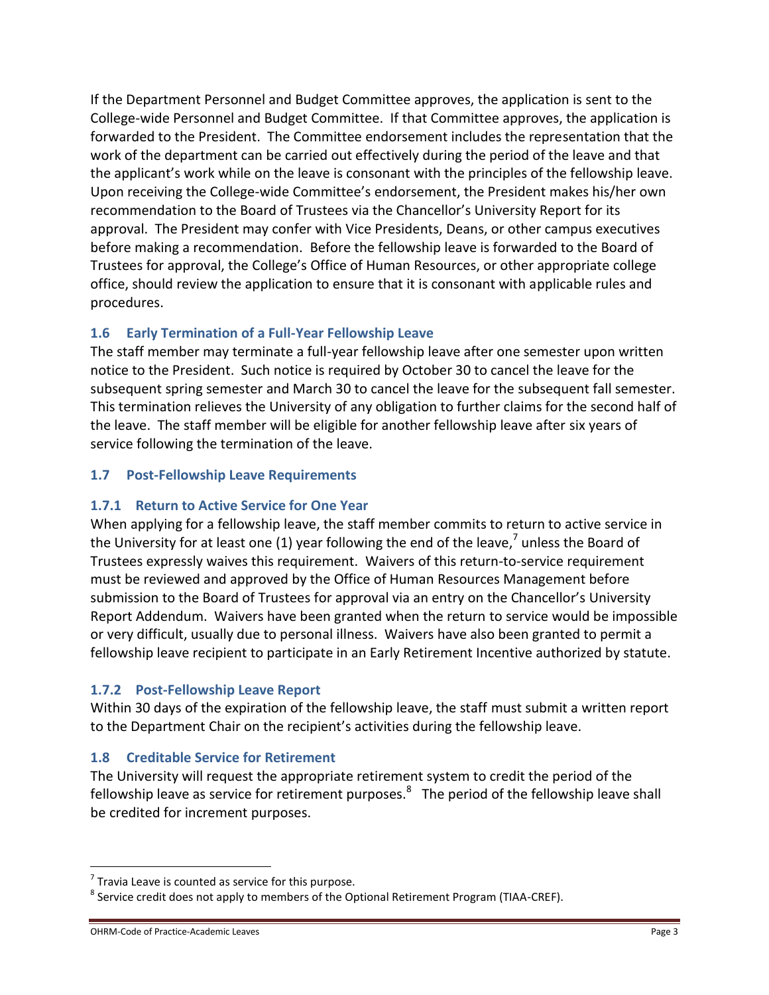If the Department Personnel and Budget Committee approves, the application is sent to the College-wide Personnel and Budget Committee. If that Committee approves, the application is forwarded to the President. The Committee endorsement includes the representation that the work of the department can be carried out effectively during the period of the leave and that the applicant's work while on the leave is consonant with the principles of the fellowship leave. Upon receiving the College-wide Committee's endorsement, the President makes his/her own recommendation to the Board of Trustees via the Chancellor's University Report for its approval. The President may confer with Vice Presidents, Deans, or other campus executives before making a recommendation. Before the fellowship leave is forwarded to the Board of Trustees for approval, the College's Office of Human Resources, or other appropriate college office, should review the application to ensure that it is consonant with applicable rules and procedures.

## **1.6 Early Termination of a Full-Year Fellowship Leave**

The staff member may terminate a full-year fellowship leave after one semester upon written notice to the President. Such notice is required by October 30 to cancel the leave for the subsequent spring semester and March 30 to cancel the leave for the subsequent fall semester. This termination relieves the University of any obligation to further claims for the second half of the leave. The staff member will be eligible for another fellowship leave after six years of service following the termination of the leave.

### **1.7 Post-Fellowship Leave Requirements**

### **1.7.1 Return to Active Service for One Year**

When applying for a fellowship leave, the staff member commits to return to active service in the University for at least one (1) year following the end of the leave,<sup>7</sup> unless the Board of Trustees expressly waives this requirement. Waivers of this return-to-service requirement must be reviewed and approved by the Office of Human Resources Management before submission to the Board of Trustees for approval via an entry on the Chancellor's University Report Addendum. Waivers have been granted when the return to service would be impossible or very difficult, usually due to personal illness. Waivers have also been granted to permit a fellowship leave recipient to participate in an Early Retirement Incentive authorized by statute.

### **1.7.2 Post-Fellowship Leave Report**

Within 30 days of the expiration of the fellowship leave, the staff must submit a written report to the Department Chair on the recipient's activities during the fellowship leave.

# **1.8 Creditable Service for Retirement**

The University will request the appropriate retirement system to credit the period of the fellowship leave as service for retirement purposes.<sup>8</sup> The period of the fellowship leave shall be credited for increment purposes.

 $7$  Travia Leave is counted as service for this purpose.

 $^8$  Service credit does not apply to members of the Optional Retirement Program (TIAA-CREF).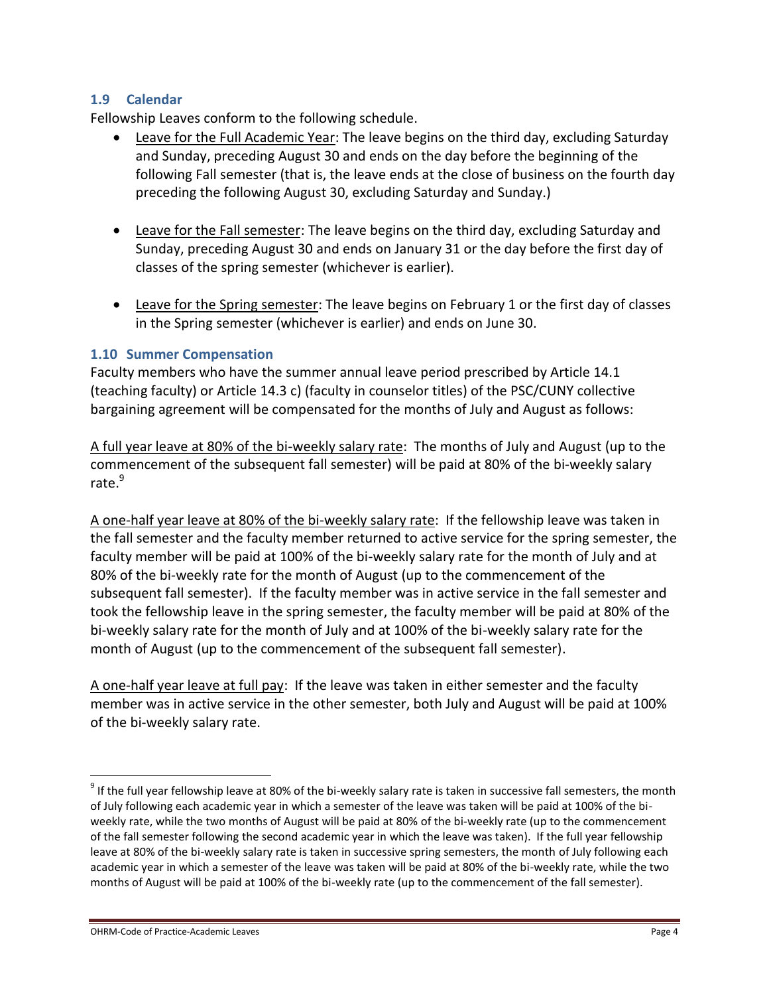## **1.9 Calendar**

Fellowship Leaves conform to the following schedule.

- Leave for the Full Academic Year: The leave begins on the third day, excluding Saturday and Sunday, preceding August 30 and ends on the day before the beginning of the following Fall semester (that is, the leave ends at the close of business on the fourth day preceding the following August 30, excluding Saturday and Sunday.)
- Leave for the Fall semester: The leave begins on the third day, excluding Saturday and Sunday, preceding August 30 and ends on January 31 or the day before the first day of classes of the spring semester (whichever is earlier).
- Leave for the Spring semester: The leave begins on February 1 or the first day of classes in the Spring semester (whichever is earlier) and ends on June 30.

### **1.10 Summer Compensation**

Faculty members who have the summer annual leave period prescribed by Article 14.1 (teaching faculty) or Article 14.3 c) (faculty in counselor titles) of the PSC/CUNY collective bargaining agreement will be compensated for the months of July and August as follows:

A full year leave at 80% of the bi-weekly salary rate: The months of July and August (up to the commencement of the subsequent fall semester) will be paid at 80% of the bi-weekly salary rate.<sup>9</sup>

A one-half year leave at 80% of the bi-weekly salary rate: If the fellowship leave was taken in the fall semester and the faculty member returned to active service for the spring semester, the faculty member will be paid at 100% of the bi-weekly salary rate for the month of July and at 80% of the bi-weekly rate for the month of August (up to the commencement of the subsequent fall semester). If the faculty member was in active service in the fall semester and took the fellowship leave in the spring semester, the faculty member will be paid at 80% of the bi-weekly salary rate for the month of July and at 100% of the bi-weekly salary rate for the month of August (up to the commencement of the subsequent fall semester).

A one-half year leave at full pay: If the leave was taken in either semester and the faculty member was in active service in the other semester, both July and August will be paid at 100% of the bi-weekly salary rate.

 $9$  If the full year fellowship leave at 80% of the bi-weekly salary rate is taken in successive fall semesters, the month of July following each academic year in which a semester of the leave was taken will be paid at 100% of the biweekly rate, while the two months of August will be paid at 80% of the bi-weekly rate (up to the commencement of the fall semester following the second academic year in which the leave was taken). If the full year fellowship leave at 80% of the bi-weekly salary rate is taken in successive spring semesters, the month of July following each academic year in which a semester of the leave was taken will be paid at 80% of the bi-weekly rate, while the two months of August will be paid at 100% of the bi-weekly rate (up to the commencement of the fall semester).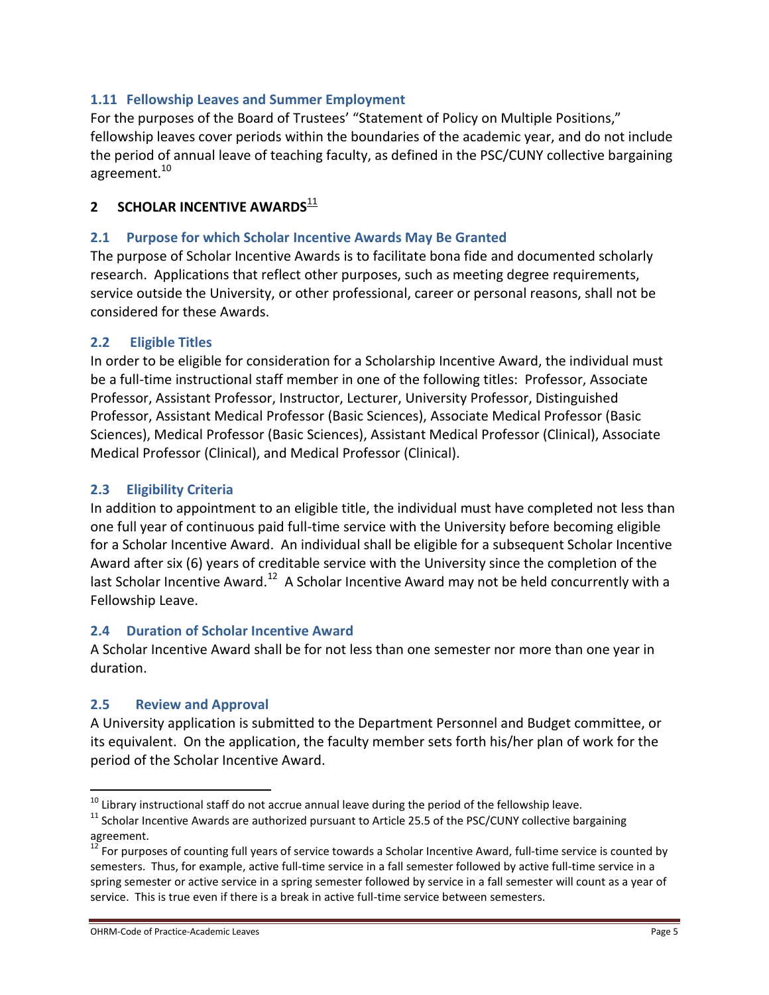# **1.11 Fellowship Leaves and Summer Employment**

For the purposes of the Board of Trustees' "Statement of Policy on Multiple Positions," fellowship leaves cover periods within the boundaries of the academic year, and do not include the period of annual leave of teaching faculty, as defined in the PSC/CUNY collective bargaining agreement.<sup>10</sup>

# **2 SCHOLAR INCENTIVE AWARDS**<sup>11</sup>

## **2.1 Purpose for which Scholar Incentive Awards May Be Granted**

The purpose of Scholar Incentive Awards is to facilitate bona fide and documented scholarly research. Applications that reflect other purposes, such as meeting degree requirements, service outside the University, or other professional, career or personal reasons, shall not be considered for these Awards.

## **2.2 Eligible Titles**

In order to be eligible for consideration for a Scholarship Incentive Award, the individual must be a full-time instructional staff member in one of the following titles: Professor, Associate Professor, Assistant Professor, Instructor, Lecturer, University Professor, Distinguished Professor, Assistant Medical Professor (Basic Sciences), Associate Medical Professor (Basic Sciences), Medical Professor (Basic Sciences), Assistant Medical Professor (Clinical), Associate Medical Professor (Clinical), and Medical Professor (Clinical).

## **2.3 Eligibility Criteria**

In addition to appointment to an eligible title, the individual must have completed not less than one full year of continuous paid full-time service with the University before becoming eligible for a Scholar Incentive Award. An individual shall be eligible for a subsequent Scholar Incentive Award after six (6) years of creditable service with the University since the completion of the last Scholar Incentive Award.<sup>12</sup> A Scholar Incentive Award may not be held concurrently with a Fellowship Leave.

## **2.4 Duration of Scholar Incentive Award**

A Scholar Incentive Award shall be for not less than one semester nor more than one year in duration.

### **2.5 Review and Approval**

 $\overline{a}$ 

A University application is submitted to the Department Personnel and Budget committee, or its equivalent. On the application, the faculty member sets forth his/her plan of work for the period of the Scholar Incentive Award.

 $10$  Library instructional staff do not accrue annual leave during the period of the fellowship leave.

 $11$  Scholar Incentive Awards are authorized pursuant to Article 25.5 of the PSC/CUNY collective bargaining agreement.

 $12$  For purposes of counting full years of service towards a Scholar Incentive Award, full-time service is counted by semesters. Thus, for example, active full-time service in a fall semester followed by active full-time service in a spring semester or active service in a spring semester followed by service in a fall semester will count as a year of service. This is true even if there is a break in active full-time service between semesters.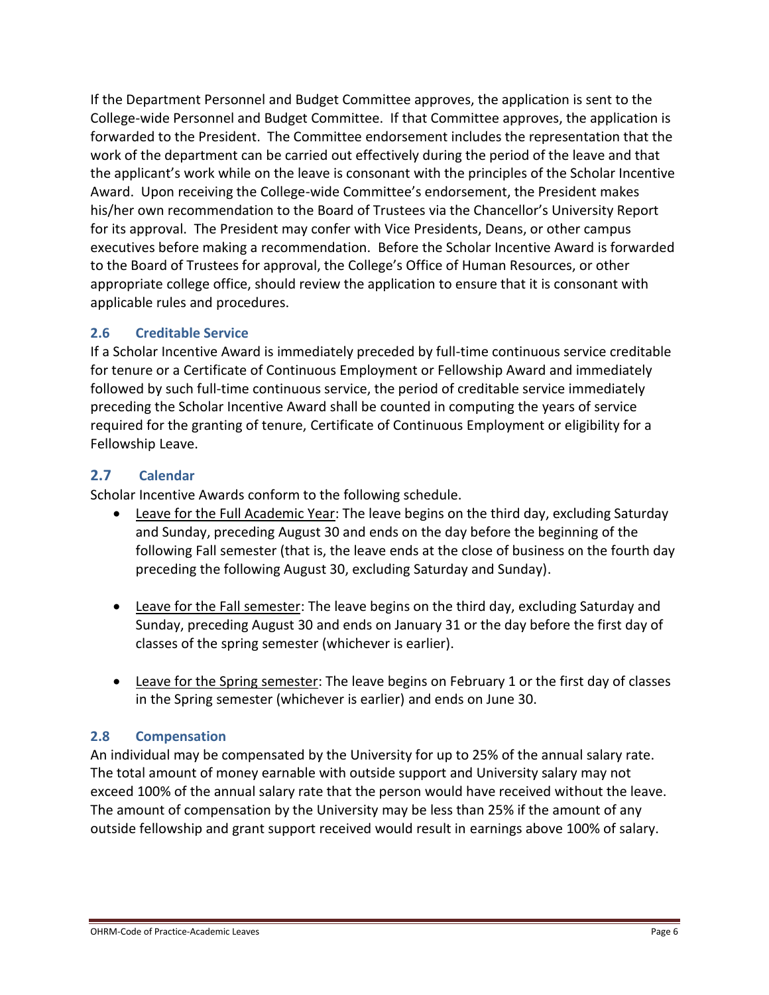If the Department Personnel and Budget Committee approves, the application is sent to the College-wide Personnel and Budget Committee. If that Committee approves, the application is forwarded to the President. The Committee endorsement includes the representation that the work of the department can be carried out effectively during the period of the leave and that the applicant's work while on the leave is consonant with the principles of the Scholar Incentive Award. Upon receiving the College-wide Committee's endorsement, the President makes his/her own recommendation to the Board of Trustees via the Chancellor's University Report for its approval. The President may confer with Vice Presidents, Deans, or other campus executives before making a recommendation. Before the Scholar Incentive Award is forwarded to the Board of Trustees for approval, the College's Office of Human Resources, or other appropriate college office, should review the application to ensure that it is consonant with applicable rules and procedures.

# **2.6 Creditable Service**

If a Scholar Incentive Award is immediately preceded by full-time continuous service creditable for tenure or a Certificate of Continuous Employment or Fellowship Award and immediately followed by such full-time continuous service, the period of creditable service immediately preceding the Scholar Incentive Award shall be counted in computing the years of service required for the granting of tenure, Certificate of Continuous Employment or eligibility for a Fellowship Leave.

## **2.7 Calendar**

Scholar Incentive Awards conform to the following schedule.

- Leave for the Full Academic Year: The leave begins on the third day, excluding Saturday and Sunday, preceding August 30 and ends on the day before the beginning of the following Fall semester (that is, the leave ends at the close of business on the fourth day preceding the following August 30, excluding Saturday and Sunday).
- Leave for the Fall semester: The leave begins on the third day, excluding Saturday and Sunday, preceding August 30 and ends on January 31 or the day before the first day of classes of the spring semester (whichever is earlier).
- Leave for the Spring semester: The leave begins on February 1 or the first day of classes in the Spring semester (whichever is earlier) and ends on June 30.

# **2.8 Compensation**

An individual may be compensated by the University for up to 25% of the annual salary rate. The total amount of money earnable with outside support and University salary may not exceed 100% of the annual salary rate that the person would have received without the leave. The amount of compensation by the University may be less than 25% if the amount of any outside fellowship and grant support received would result in earnings above 100% of salary.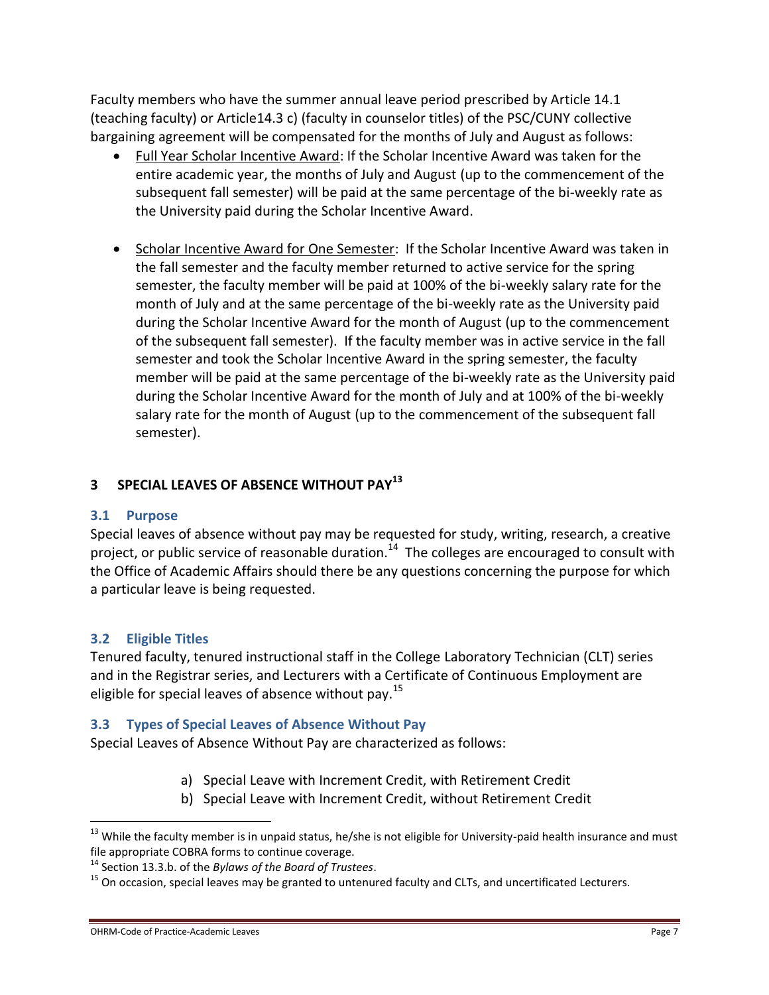Faculty members who have the summer annual leave period prescribed by Article 14.1 (teaching faculty) or Article14.3 c) (faculty in counselor titles) of the PSC/CUNY collective bargaining agreement will be compensated for the months of July and August as follows:

- Full Year Scholar Incentive Award: If the Scholar Incentive Award was taken for the entire academic year, the months of July and August (up to the commencement of the subsequent fall semester) will be paid at the same percentage of the bi-weekly rate as the University paid during the Scholar Incentive Award.
- Scholar Incentive Award for One Semester: If the Scholar Incentive Award was taken in the fall semester and the faculty member returned to active service for the spring semester, the faculty member will be paid at 100% of the bi-weekly salary rate for the month of July and at the same percentage of the bi-weekly rate as the University paid during the Scholar Incentive Award for the month of August (up to the commencement of the subsequent fall semester). If the faculty member was in active service in the fall semester and took the Scholar Incentive Award in the spring semester, the faculty member will be paid at the same percentage of the bi-weekly rate as the University paid during the Scholar Incentive Award for the month of July and at 100% of the bi-weekly salary rate for the month of August (up to the commencement of the subsequent fall semester).

# **3 SPECIAL LEAVES OF ABSENCE WITHOUT PAY<sup>13</sup>**

# **3.1 Purpose**

Special leaves of absence without pay may be requested for study, writing, research, a creative project, or public service of reasonable duration.<sup>14</sup> The colleges are encouraged to consult with the Office of Academic Affairs should there be any questions concerning the purpose for which a particular leave is being requested.

# **3.2 Eligible Titles**

 $\overline{a}$ 

Tenured faculty, tenured instructional staff in the College Laboratory Technician (CLT) series and in the Registrar series, and Lecturers with a Certificate of Continuous Employment are eligible for special leaves of absence without pay.<sup>15</sup>

# **3.3 Types of Special Leaves of Absence Without Pay**

Special Leaves of Absence Without Pay are characterized as follows:

- a) Special Leave with Increment Credit, with Retirement Credit
- b) Special Leave with Increment Credit, without Retirement Credit

<sup>&</sup>lt;sup>13</sup> While the faculty member is in unpaid status, he/she is not eligible for University-paid health insurance and must file appropriate COBRA forms to continue coverage.

<sup>14</sup> Section 13.3.b. of the *Bylaws of the Board of Trustees*.

<sup>&</sup>lt;sup>15</sup> On occasion, special leaves may be granted to untenured faculty and CLTs, and uncertificated Lecturers.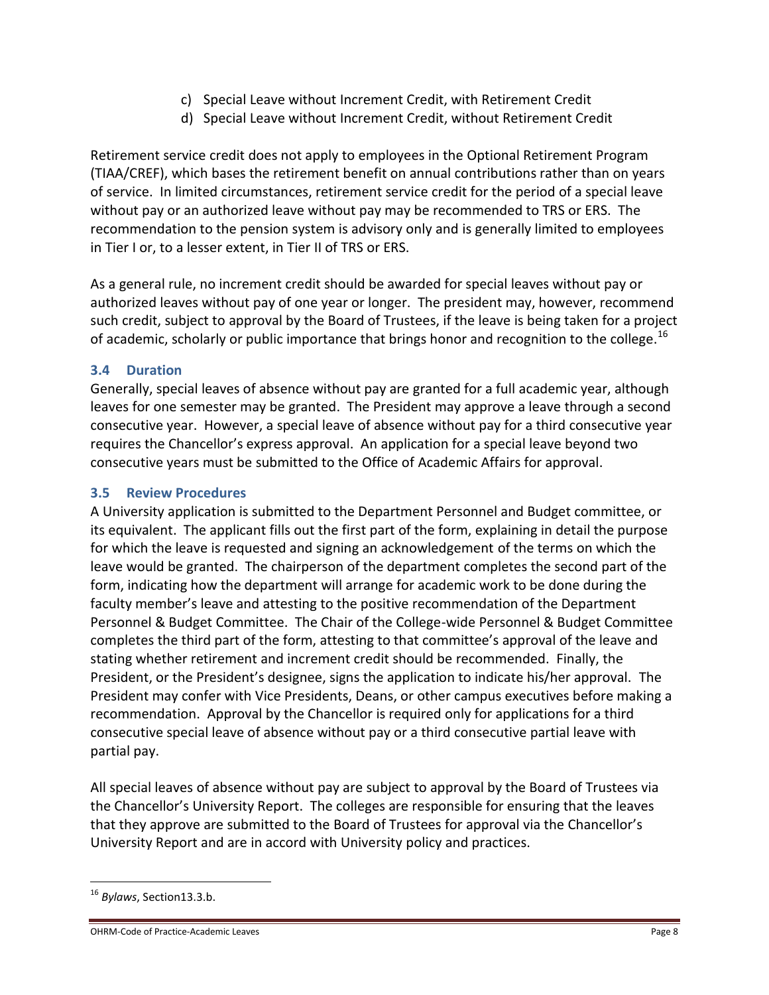- c) Special Leave without Increment Credit, with Retirement Credit
- d) Special Leave without Increment Credit, without Retirement Credit

Retirement service credit does not apply to employees in the Optional Retirement Program (TIAA/CREF), which bases the retirement benefit on annual contributions rather than on years of service. In limited circumstances, retirement service credit for the period of a special leave without pay or an authorized leave without pay may be recommended to TRS or ERS. The recommendation to the pension system is advisory only and is generally limited to employees in Tier I or, to a lesser extent, in Tier II of TRS or ERS.

As a general rule, no increment credit should be awarded for special leaves without pay or authorized leaves without pay of one year or longer. The president may, however, recommend such credit, subject to approval by the Board of Trustees, if the leave is being taken for a project of academic, scholarly or public importance that brings honor and recognition to the college.<sup>16</sup>

# **3.4 Duration**

Generally, special leaves of absence without pay are granted for a full academic year, although leaves for one semester may be granted. The President may approve a leave through a second consecutive year. However, a special leave of absence without pay for a third consecutive year requires the Chancellor's express approval. An application for a special leave beyond two consecutive years must be submitted to the Office of Academic Affairs for approval.

# **3.5 Review Procedures**

A University application is submitted to the Department Personnel and Budget committee, or its equivalent. The applicant fills out the first part of the form, explaining in detail the purpose for which the leave is requested and signing an acknowledgement of the terms on which the leave would be granted. The chairperson of the department completes the second part of the form, indicating how the department will arrange for academic work to be done during the faculty member's leave and attesting to the positive recommendation of the Department Personnel & Budget Committee. The Chair of the College-wide Personnel & Budget Committee completes the third part of the form, attesting to that committee's approval of the leave and stating whether retirement and increment credit should be recommended. Finally, the President, or the President's designee, signs the application to indicate his/her approval. The President may confer with Vice Presidents, Deans, or other campus executives before making a recommendation. Approval by the Chancellor is required only for applications for a third consecutive special leave of absence without pay or a third consecutive partial leave with partial pay.

All special leaves of absence without pay are subject to approval by the Board of Trustees via the Chancellor's University Report. The colleges are responsible for ensuring that the leaves that they approve are submitted to the Board of Trustees for approval via the Chancellor's University Report and are in accord with University policy and practices.

 $\overline{a}$ 

#### OHRM-Code of Practice-Academic Leaves **Page 8** and the property of Page 8 and the Page 8 and the Page 8 and the Page 8

<sup>16</sup> *Bylaws*, Section13.3.b.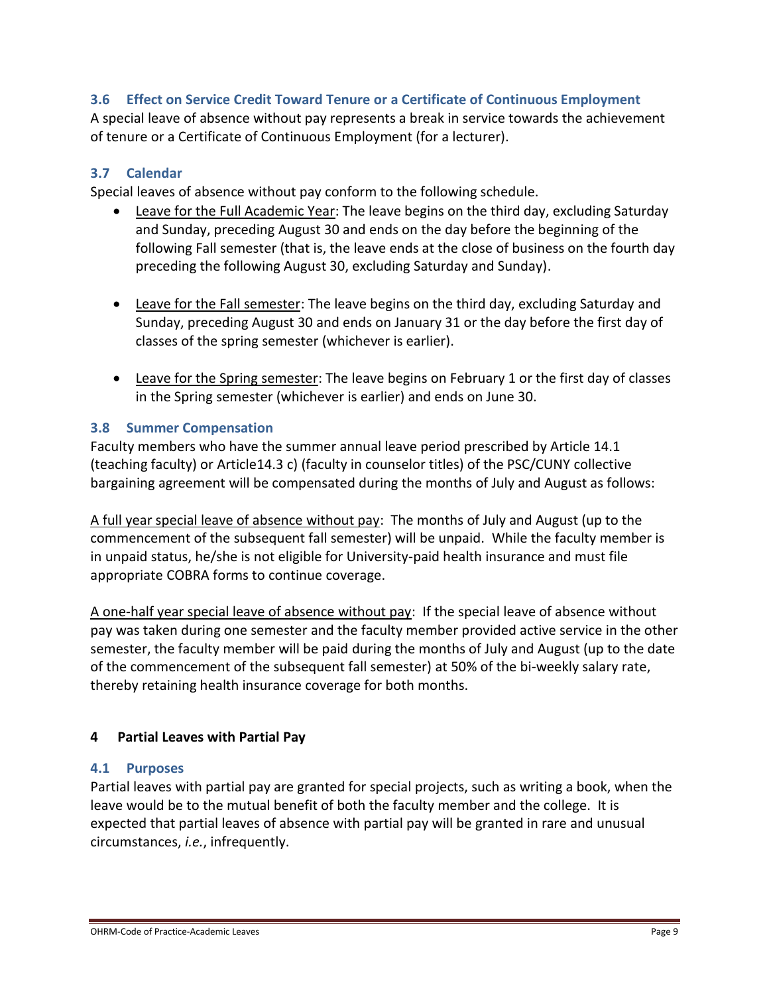## **3.6 Effect on Service Credit Toward Tenure or a Certificate of Continuous Employment**

A special leave of absence without pay represents a break in service towards the achievement of tenure or a Certificate of Continuous Employment (for a lecturer).

## **3.7 Calendar**

Special leaves of absence without pay conform to the following schedule.

- Leave for the Full Academic Year: The leave begins on the third day, excluding Saturday and Sunday, preceding August 30 and ends on the day before the beginning of the following Fall semester (that is, the leave ends at the close of business on the fourth day preceding the following August 30, excluding Saturday and Sunday).
- Leave for the Fall semester: The leave begins on the third day, excluding Saturday and Sunday, preceding August 30 and ends on January 31 or the day before the first day of classes of the spring semester (whichever is earlier).
- Leave for the Spring semester: The leave begins on February 1 or the first day of classes in the Spring semester (whichever is earlier) and ends on June 30.

## **3.8 Summer Compensation**

Faculty members who have the summer annual leave period prescribed by Article 14.1 (teaching faculty) or Article14.3 c) (faculty in counselor titles) of the PSC/CUNY collective bargaining agreement will be compensated during the months of July and August as follows:

A full year special leave of absence without pay: The months of July and August (up to the commencement of the subsequent fall semester) will be unpaid. While the faculty member is in unpaid status, he/she is not eligible for University-paid health insurance and must file appropriate COBRA forms to continue coverage.

A one-half year special leave of absence without pay: If the special leave of absence without pay was taken during one semester and the faculty member provided active service in the other semester, the faculty member will be paid during the months of July and August (up to the date of the commencement of the subsequent fall semester) at 50% of the bi-weekly salary rate, thereby retaining health insurance coverage for both months.

### **4 Partial Leaves with Partial Pay**

### **4.1 Purposes**

Partial leaves with partial pay are granted for special projects, such as writing a book, when the leave would be to the mutual benefit of both the faculty member and the college. It is expected that partial leaves of absence with partial pay will be granted in rare and unusual circumstances, *i.e.*, infrequently.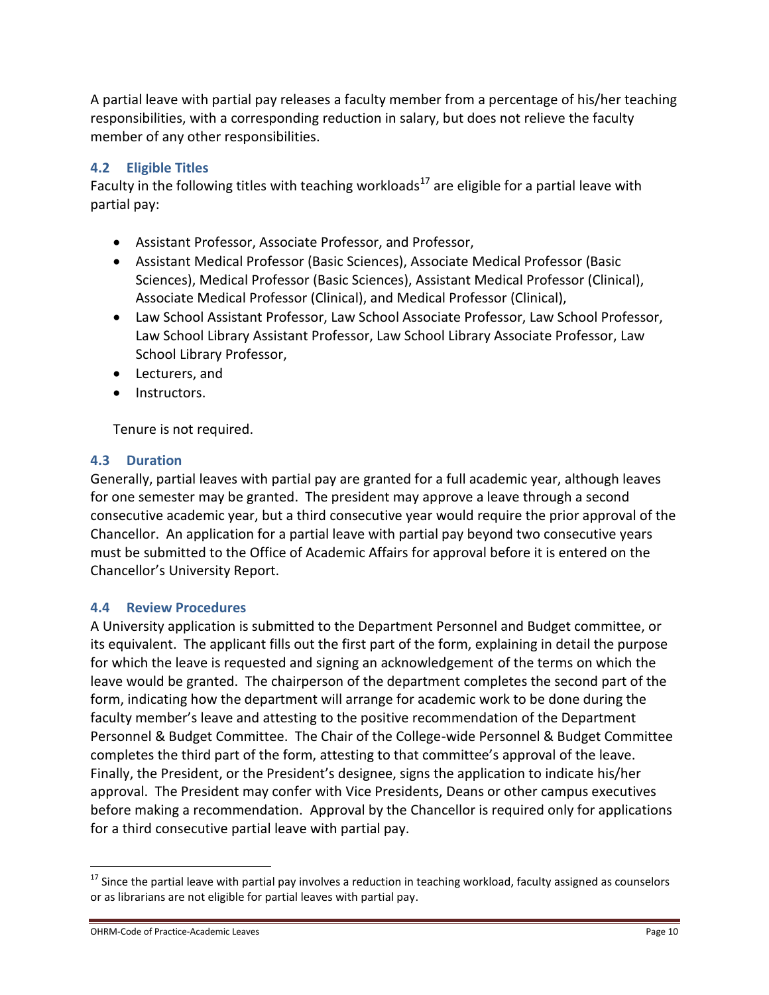A partial leave with partial pay releases a faculty member from a percentage of his/her teaching responsibilities, with a corresponding reduction in salary, but does not relieve the faculty member of any other responsibilities.

# **4.2 Eligible Titles**

Faculty in the following titles with teaching workloads<sup>17</sup> are eligible for a partial leave with partial pay:

- Assistant Professor, Associate Professor, and Professor,
- Assistant Medical Professor (Basic Sciences), Associate Medical Professor (Basic Sciences), Medical Professor (Basic Sciences), Assistant Medical Professor (Clinical), Associate Medical Professor (Clinical), and Medical Professor (Clinical),
- Law School Assistant Professor, Law School Associate Professor, Law School Professor, Law School Library Assistant Professor, Law School Library Associate Professor, Law School Library Professor,
- Lecturers, and
- Instructors.

Tenure is not required.

## **4.3 Duration**

Generally, partial leaves with partial pay are granted for a full academic year, although leaves for one semester may be granted. The president may approve a leave through a second consecutive academic year, but a third consecutive year would require the prior approval of the Chancellor. An application for a partial leave with partial pay beyond two consecutive years must be submitted to the Office of Academic Affairs for approval before it is entered on the Chancellor's University Report.

### **4.4 Review Procedures**

A University application is submitted to the Department Personnel and Budget committee, or its equivalent. The applicant fills out the first part of the form, explaining in detail the purpose for which the leave is requested and signing an acknowledgement of the terms on which the leave would be granted. The chairperson of the department completes the second part of the form, indicating how the department will arrange for academic work to be done during the faculty member's leave and attesting to the positive recommendation of the Department Personnel & Budget Committee. The Chair of the College-wide Personnel & Budget Committee completes the third part of the form, attesting to that committee's approval of the leave. Finally, the President, or the President's designee, signs the application to indicate his/her approval. The President may confer with Vice Presidents, Deans or other campus executives before making a recommendation. Approval by the Chancellor is required only for applications for a third consecutive partial leave with partial pay.

 $17$  Since the partial leave with partial pay involves a reduction in teaching workload, faculty assigned as counselors or as librarians are not eligible for partial leaves with partial pay.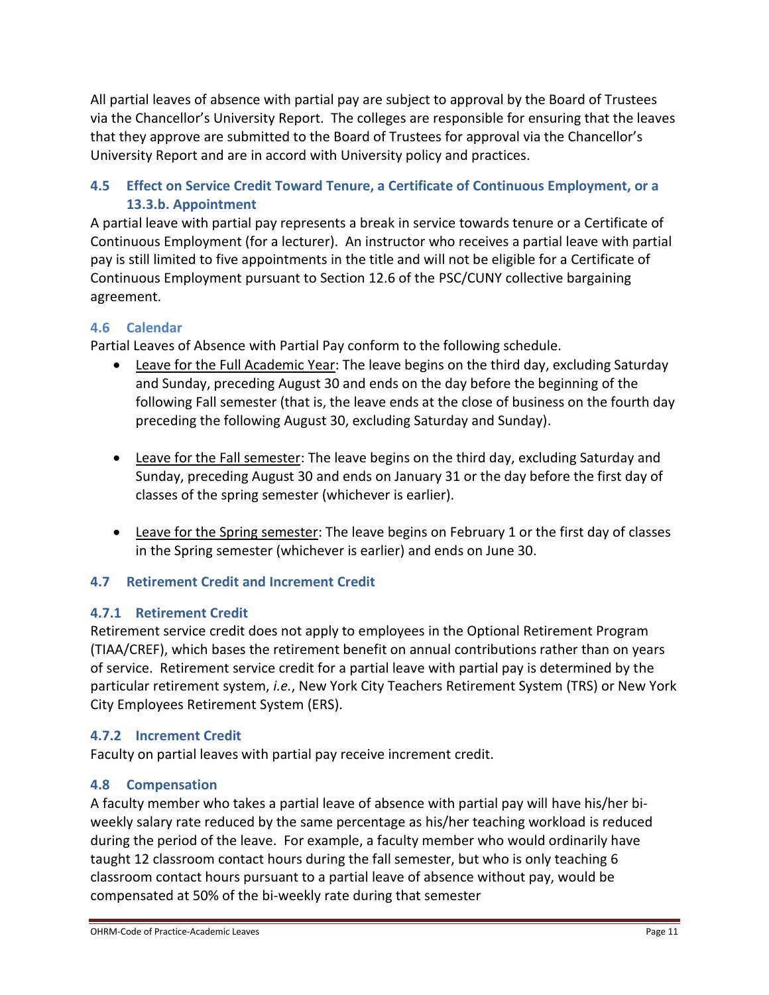All partial leaves of absence with partial pay are subject to approval by the Board of Trustees via the Chancellor's University Report. The colleges are responsible for ensuring that the leaves that they approve are submitted to the Board of Trustees for approval via the Chancellor's University Report and are in accord with University policy and practices.

# **4.5 Effect on Service Credit Toward Tenure, a Certificate of Continuous Employment, or a 13.3.b. Appointment**

A partial leave with partial pay represents a break in service towards tenure or a Certificate of Continuous Employment (for a lecturer). An instructor who receives a partial leave with partial pay is still limited to five appointments in the title and will not be eligible for a Certificate of Continuous Employment pursuant to Section 12.6 of the PSC/CUNY collective bargaining agreement.

# **4.6 Calendar**

Partial Leaves of Absence with Partial Pay conform to the following schedule.

- Leave for the Full Academic Year: The leave begins on the third day, excluding Saturday and Sunday, preceding August 30 and ends on the day before the beginning of the following Fall semester (that is, the leave ends at the close of business on the fourth day preceding the following August 30, excluding Saturday and Sunday).
- Leave for the Fall semester: The leave begins on the third day, excluding Saturday and Sunday, preceding August 30 and ends on January 31 or the day before the first day of classes of the spring semester (whichever is earlier).
- Leave for the Spring semester: The leave begins on February 1 or the first day of classes in the Spring semester (whichever is earlier) and ends on June 30.

# **4.7 Retirement Credit and Increment Credit**

# **4.7.1 Retirement Credit**

Retirement service credit does not apply to employees in the Optional Retirement Program (TIAA/CREF), which bases the retirement benefit on annual contributions rather than on years of service. Retirement service credit for a partial leave with partial pay is determined by the particular retirement system, *i.e.*, New York City Teachers Retirement System (TRS) or New York City Employees Retirement System (ERS).

# **4.7.2 Increment Credit**

Faculty on partial leaves with partial pay receive increment credit.

# **4.8 Compensation**

A faculty member who takes a partial leave of absence with partial pay will have his/her biweekly salary rate reduced by the same percentage as his/her teaching workload is reduced during the period of the leave. For example, a faculty member who would ordinarily have taught 12 classroom contact hours during the fall semester, but who is only teaching 6 classroom contact hours pursuant to a partial leave of absence without pay, would be compensated at 50% of the bi-weekly rate during that semester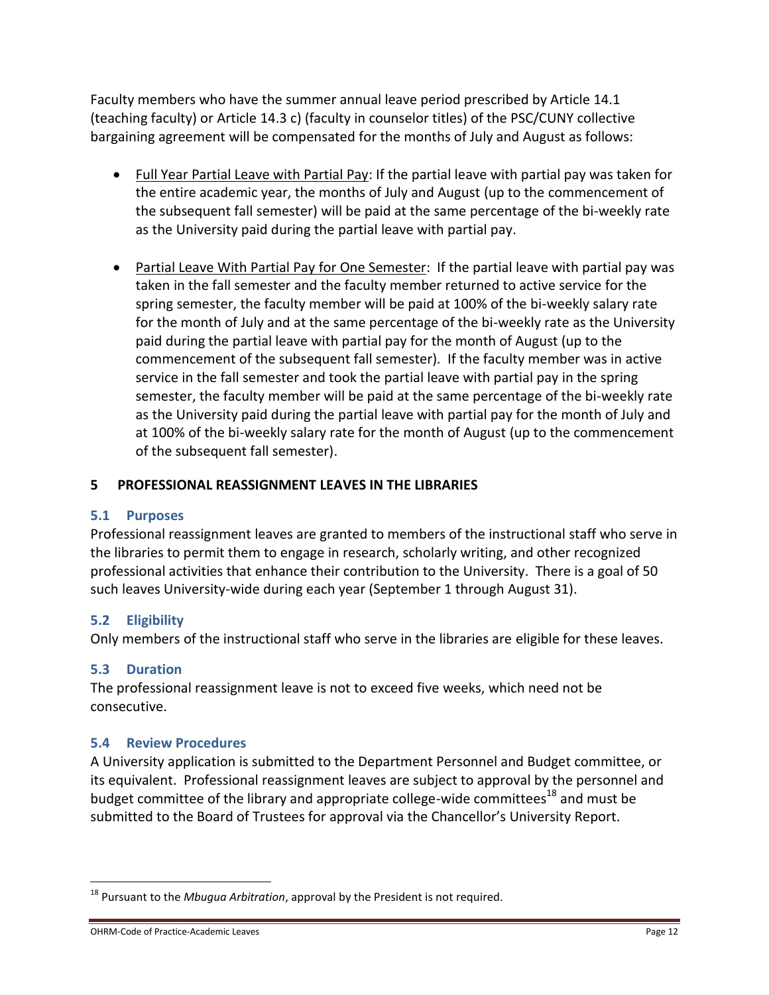Faculty members who have the summer annual leave period prescribed by Article 14.1 (teaching faculty) or Article 14.3 c) (faculty in counselor titles) of the PSC/CUNY collective bargaining agreement will be compensated for the months of July and August as follows:

- Full Year Partial Leave with Partial Pay: If the partial leave with partial pay was taken for the entire academic year, the months of July and August (up to the commencement of the subsequent fall semester) will be paid at the same percentage of the bi-weekly rate as the University paid during the partial leave with partial pay.
- Partial Leave With Partial Pay for One Semester: If the partial leave with partial pay was taken in the fall semester and the faculty member returned to active service for the spring semester, the faculty member will be paid at 100% of the bi-weekly salary rate for the month of July and at the same percentage of the bi-weekly rate as the University paid during the partial leave with partial pay for the month of August (up to the commencement of the subsequent fall semester). If the faculty member was in active service in the fall semester and took the partial leave with partial pay in the spring semester, the faculty member will be paid at the same percentage of the bi-weekly rate as the University paid during the partial leave with partial pay for the month of July and at 100% of the bi-weekly salary rate for the month of August (up to the commencement of the subsequent fall semester).

# **5 PROFESSIONAL REASSIGNMENT LEAVES IN THE LIBRARIES**

### **5.1 Purposes**

Professional reassignment leaves are granted to members of the instructional staff who serve in the libraries to permit them to engage in research, scholarly writing, and other recognized professional activities that enhance their contribution to the University. There is a goal of 50 such leaves University-wide during each year (September 1 through August 31).

# **5.2 Eligibility**

Only members of the instructional staff who serve in the libraries are eligible for these leaves.

# **5.3 Duration**

 $\overline{a}$ 

The professional reassignment leave is not to exceed five weeks, which need not be consecutive.

### **5.4 Review Procedures**

A University application is submitted to the Department Personnel and Budget committee, or its equivalent. Professional reassignment leaves are subject to approval by the personnel and budget committee of the library and appropriate college-wide committees<sup>18</sup> and must be submitted to the Board of Trustees for approval via the Chancellor's University Report.

<sup>18</sup> Pursuant to the *Mbugua Arbitration*, approval by the President is not required.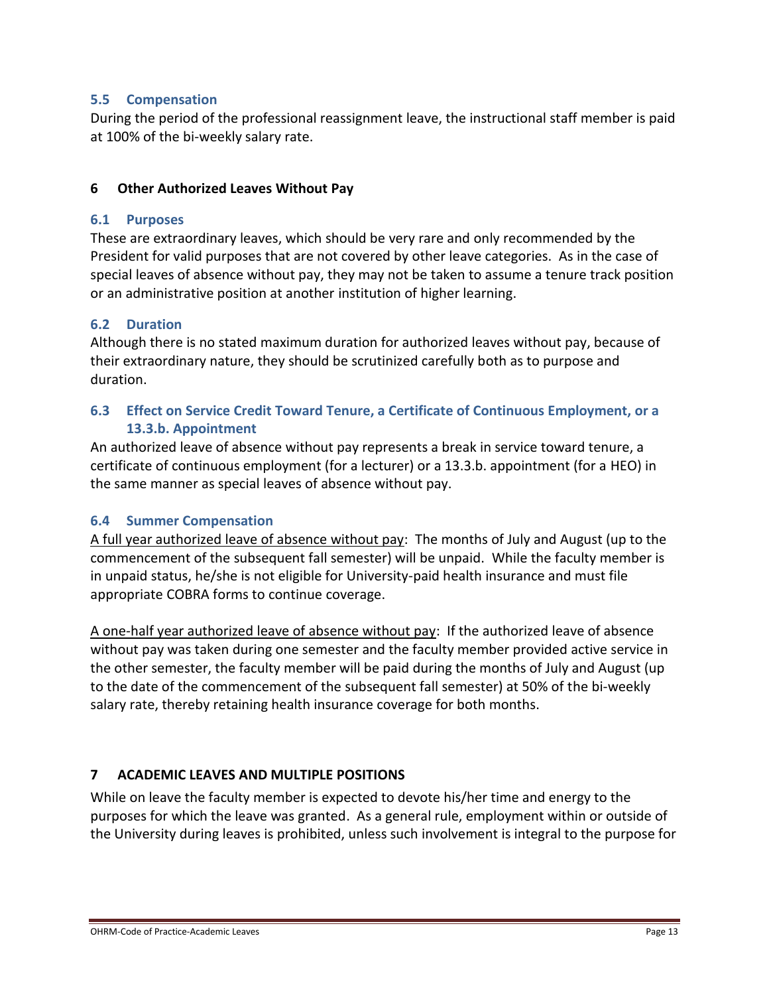## **5.5 Compensation**

During the period of the professional reassignment leave, the instructional staff member is paid at 100% of the bi-weekly salary rate.

## **6 Other Authorized Leaves Without Pay**

## **6.1 Purposes**

These are extraordinary leaves, which should be very rare and only recommended by the President for valid purposes that are not covered by other leave categories. As in the case of special leaves of absence without pay, they may not be taken to assume a tenure track position or an administrative position at another institution of higher learning.

## **6.2 Duration**

Although there is no stated maximum duration for authorized leaves without pay, because of their extraordinary nature, they should be scrutinized carefully both as to purpose and duration.

## **6.3 Effect on Service Credit Toward Tenure, a Certificate of Continuous Employment, or a 13.3.b. Appointment**

An authorized leave of absence without pay represents a break in service toward tenure, a certificate of continuous employment (for a lecturer) or a 13.3.b. appointment (for a HEO) in the same manner as special leaves of absence without pay.

### **6.4 Summer Compensation**

A full year authorized leave of absence without pay: The months of July and August (up to the commencement of the subsequent fall semester) will be unpaid. While the faculty member is in unpaid status, he/she is not eligible for University-paid health insurance and must file appropriate COBRA forms to continue coverage.

A one-half year authorized leave of absence without pay: If the authorized leave of absence without pay was taken during one semester and the faculty member provided active service in the other semester, the faculty member will be paid during the months of July and August (up to the date of the commencement of the subsequent fall semester) at 50% of the bi-weekly salary rate, thereby retaining health insurance coverage for both months.

# **7 ACADEMIC LEAVES AND MULTIPLE POSITIONS**

While on leave the faculty member is expected to devote his/her time and energy to the purposes for which the leave was granted. As a general rule, employment within or outside of the University during leaves is prohibited, unless such involvement is integral to the purpose for